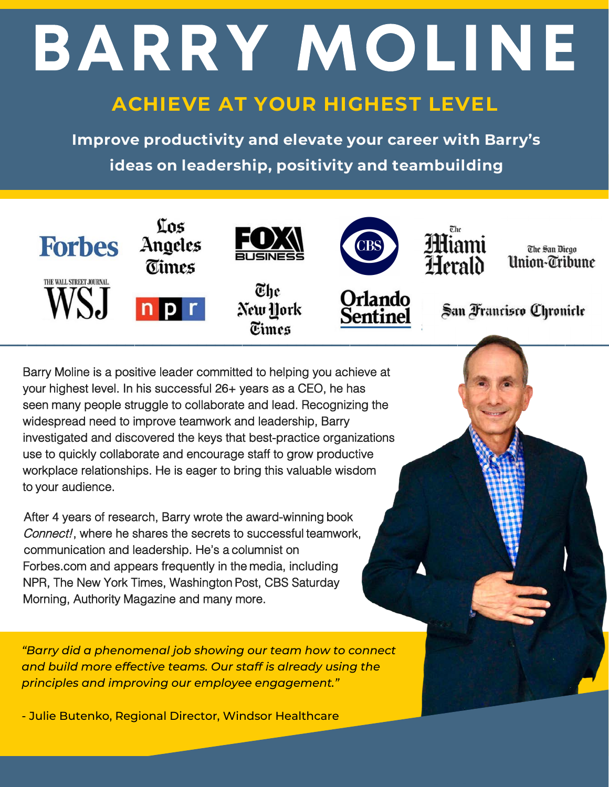# BARRY MOLINE

# **ACHIEVE AT YOUR HIGHEST LEVEL**

**Improve productivity and elevate your career with Barry's ideas on leadership, positivity and teambuilding**



Barry Moline is a positive leader committed to helping you achieve at your highest level. In his successful 26+ years as a CEO, he has seen many people struggle to collaborate and lead. Recognizing the widespread need to improve teamwork and leadership, Barry investigated and discovered the keys that best-practice organizations use to quickly collaborate and encourage staff to grow productive workplace relationships. He is eager to bring this valuable wisdom to your audience.

After 4 years of research, Barry wrote the award-winning book Connect!, where he shares the secrets to successful teamwork, communication and leadership. He's a columnist on Forbes.com and appears frequently in the media, including NPR, The New York Times, Washington Post, CBS Saturday Morning, Authority Magazine and many more.

*"Barry did a phenomenal job showing our team how to connect and build more effective teams. Our staff is already using the principles and improving our employee engagement."*

- Julie Butenko, Regional Director, Windsor Healthcare